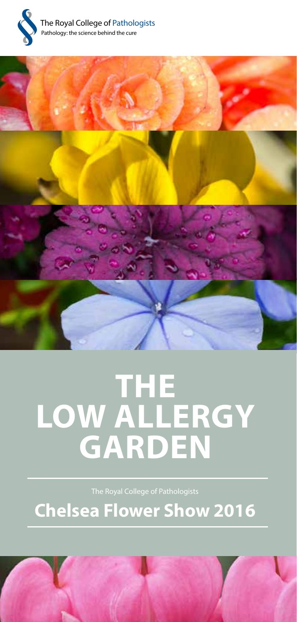



# **THE LOW ALLERGY GARDEN**

**Chelsea Flower Show 2016**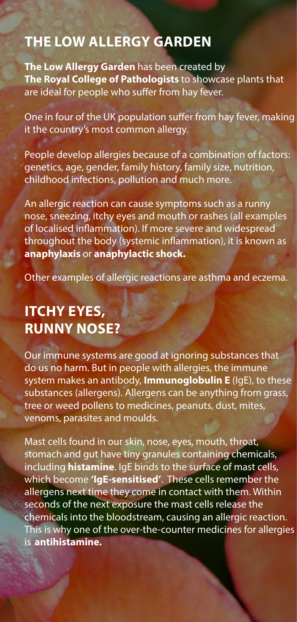#### **THE LOW ALLERGY GARDEN**

**The Low Allergy Garden** has been created by **The Royal College of Pathologists** to showcase plants that are ideal for people who suffer from hay fever.

One in four of the UK population suffer from hay fever, making it the country's most common allergy.

People develop allergies because of a combination of factors: genetics, age, gender, family history, family size, nutrition, childhood infections, pollution and much more.

An allergic reaction can cause symptoms such as a runny nose, sneezing, itchy eyes and mouth or rashes (all examples of localised inflammation). If more severe and widespread throughout the body (systemic inflammation), it is known as **anaphylaxis** or **anaphylactic shock.**

Other examples of allergic reactions are asthma and eczema.

### **ITCHY EYES, RUNNY NOSE?**

Our immune systems are good at ignoring substances that do us no harm. But in people with allergies, the immune system makes an antibody, **Immunoglobulin E** (IgE), to these substances (allergens). Allergens can be anything from grass, tree or weed pollens to medicines, peanuts, dust, mites, venoms, parasites and moulds.

Mast cells found in our skin, nose, eyes, mouth, throat, stomach and gut have tiny granules containing chemicals, including **histamine**. IgE binds to the surface of mast cells, which become **'IgE-sensitised'**. These cells remember the allergens next time they come in contact with them. Within seconds of the next exposure the mast cells release the chemicals into the bloodstream, causing an allergic reaction. This is why one of the over-the-counter medicines for allergies is **antihistamine.**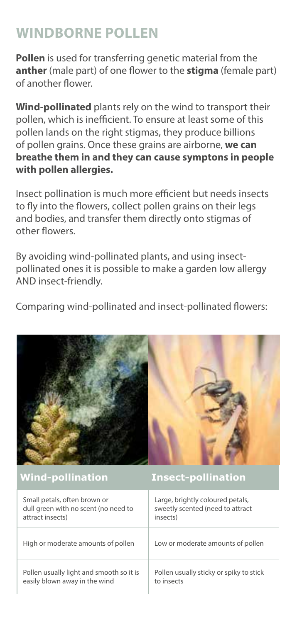## **WINDBORNE POLLEN**

**Pollen** is used for transferring genetic material from the **anther** (male part) of one flower to the **stigma** (female part) of another flower.

**Wind-pollinated** plants rely on the wind to transport their pollen, which is inefficient. To ensure at least some of this pollen lands on the right stigmas, they produce billions of pollen grains. Once these grains are airborne, **we can breathe them in and they can cause symptons in people with pollen allergies.**

Insect pollination is much more efficient but needs insects to fly into the flowers, collect pollen grains on their legs and bodies, and transfer them directly onto stigmas of other flowers.

By avoiding wind-pollinated plants, and using insectpollinated ones it is possible to make a garden low allergy AND insect-friendly.

Comparing wind-pollinated and insect-pollinated flowers:

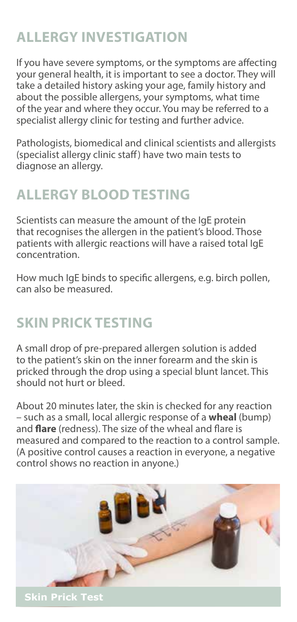## **ALLERGY INVESTIGATION**

If you have severe symptoms, or the symptoms are affecting your general health, it is important to see a doctor. They will take a detailed history asking your age, family history and about the possible allergens, your symptoms, what time of the year and where they occur. You may be referred to a specialist allergy clinic for testing and further advice.

Pathologists, biomedical and clinical scientists and allergists (specialist allergy clinic staff) have two main tests to diagnose an allergy.

## **ALLERGY BLOOD TESTING**

Scientists can measure the amount of the IgE protein that recognises the allergen in the patient's blood. Those patients with allergic reactions will have a raised total IgE concentration.

How much IgE binds to specific allergens, e.g. birch pollen, can also be measured.

## **SKIN PRICK TESTING**

A small drop of pre-prepared allergen solution is added to the patient's skin on the inner forearm and the skin is pricked through the drop using a special blunt lancet. This should not hurt or bleed.

About 20 minutes later, the skin is checked for any reaction – such as a small, local allergic response of a **wheal** (bump) and **flare** (redness). The size of the wheal and flare is measured and compared to the reaction to a control sample. (A positive control causes a reaction in everyone, a negative control shows no reaction in anyone.)



**Skin Prick Test**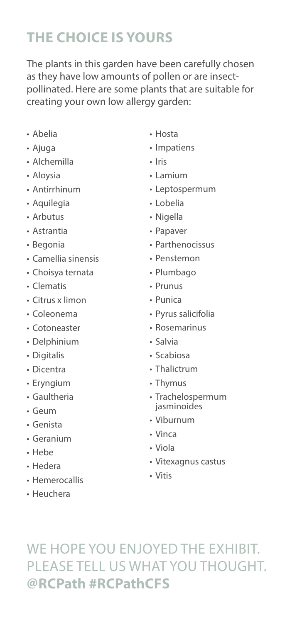# **THE CHOICE IS YOURS**

The plants in this garden have been carefully chosen as they have low amounts of pollen or are insectpollinated. Here are some plants that are suitable for creating your own low allergy garden:

- Abelia
- Ajuga
- Alchemilla
- Aloysia
- Antirrhinum
- Aquilegia
- Arbutus
- Astrantia
- Begonia
- Camellia sinensis
- Choisya ternata
- Clematis
- Citrus x limon
- Coleonema
- Cotoneaster
- Delphinium
- Digitalis
- Dicentra
- Eryngium
- Gaultheria
- Geum
- Genista
- Geranium
- Hebe
- Hedera
- Hemerocallis
- Heuchera
- Hosta
- Impatiens
- Iris
- Lamium
- Leptospermum
- Lobelia
- Nigella
- Papaver
- Parthenocissus
- Penstemon
- Plumbago
- Prunus
- Punica
- Pyrus salicifolia
- Rosemarinus
- Salvia
- Scabiosa
- Thalictrum
- Thymus
- Trachelospermum jasminoides
- Viburnum
- Vinca
- Viola
- Vitexagnus castus
- Vitis

WE HOPE YOU ENJOYED THE EXHIBIT. PLEASE TELL US WHAT YOU THOUGHT. **@RCPath #RCPathCFS**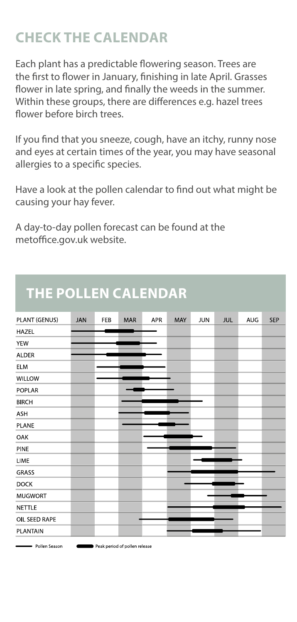## **CHECK THE CALENDAR**

Each plant has a predictable flowering season. Trees are the first to flower in January, finishing in late April. Grasses flower in late spring, and finally the weeds in the summer. Within these groups, there are differences e.g. hazel trees flower before birch trees

If you find that you sneeze, cough, have an itchy, runny nose and eyes at certain times of the year, you may have seasonal allergies to a specific species.

Have a look at the pollen calendar to find out what might be causing your hay fever.

A day-to-day pollen forecast can be found at the metoffice.gov.uk website.

| PLANT (GENUS)  | <b>JAN</b> | FEB | MAR | APR | MAY | <b>JUN</b> | <b>JUL</b> | AUG | SEP |
|----------------|------------|-----|-----|-----|-----|------------|------------|-----|-----|
| <b>HAZEL</b>   |            |     |     |     |     |            |            |     |     |
| <b>YEW</b>     |            |     |     |     |     |            |            |     |     |
| <b>ALDER</b>   |            |     |     |     |     |            |            |     |     |
| <b>ELM</b>     |            |     |     |     |     |            |            |     |     |
| WILLOW         |            |     |     |     |     |            |            |     |     |
| POPLAR         |            |     |     |     |     |            |            |     |     |
| <b>BIRCH</b>   |            |     |     |     |     |            |            |     |     |
| ASH            |            |     |     |     |     |            |            |     |     |
| PLANE          |            |     |     |     |     |            |            |     |     |
| OAK            |            |     |     |     |     |            |            |     |     |
| PINE           |            |     |     |     |     |            |            |     |     |
| LIME           |            |     |     |     |     |            |            |     |     |
| GRASS          |            |     |     |     |     |            |            |     |     |
| <b>DOCK</b>    |            |     |     |     |     |            |            |     |     |
| <b>MUGWORT</b> |            |     |     |     |     |            |            |     |     |
| <b>NETTLE</b>  |            |     |     |     |     |            |            |     |     |
| OIL SEED RAPE  |            |     |     |     |     |            |            |     |     |
| PLANTAIN       |            |     |     |     |     |            |            |     |     |

# **THE POLLEN CALENDAR**

Peak period of pollen release

Pollen Season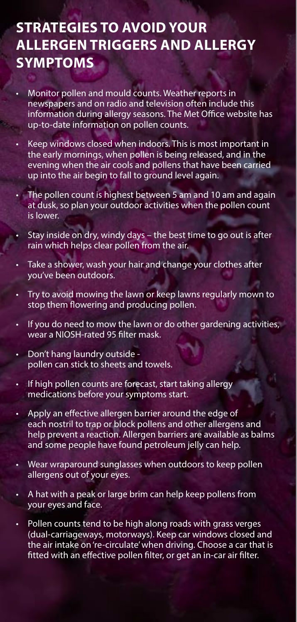#### **STRATEGIES TO AVOID YOUR ALLERGEN TRIGGERS AND ALLERGY SYMPTOMS**

- Monitor pollen and mould counts. Weather reports in newspapers and on radio and television often include this information during allergy seasons. The Met Office website has up-to-date information on pollen counts.
- Keep windows closed when indoors. This is most important in the early mornings, when pollen is being released, and in the evening when the air cools and pollens that have been carried up into the air begin to fall to ground level again.
- The pollen count is highest between 5 am and 10 am and again at dusk, so plan your outdoor activities when the pollen count is lower.
- Stay inside on dry, windy days the best time to go out is after rain which helps clear pollen from the air.
- Take a shower, wash your hair and change your clothes after you've been outdoors.
- Try to avoid mowing the lawn or keep lawns regularly mown to stop them flowering and producing pollen.
- If you do need to mow the lawn or do other gardening activities, wear a NIOSH-rated 95 filter mask.
- Don't hang laundry outside pollen can stick to sheets and towels.
- If high pollen counts are forecast, start taking allergy medications before your symptoms start.
- Apply an effective allergen barrier around the edge of each nostril to trap or block pollens and other allergens and help prevent a reaction. Allergen barriers are available as balms and some people have found petroleum jelly can help.
- Wear wraparound sunglasses when outdoors to keep pollen allergens out of your eyes.
- A hat with a peak or large brim can help keep pollens from your eyes and face.
- Pollen counts tend to be high along roads with grass verges (dual-carriageways, motorways). Keep car windows closed and the air intake on 're-circulate' when driving. Choose a car that is fitted with an effective pollen filter, or get an in-car air filter.